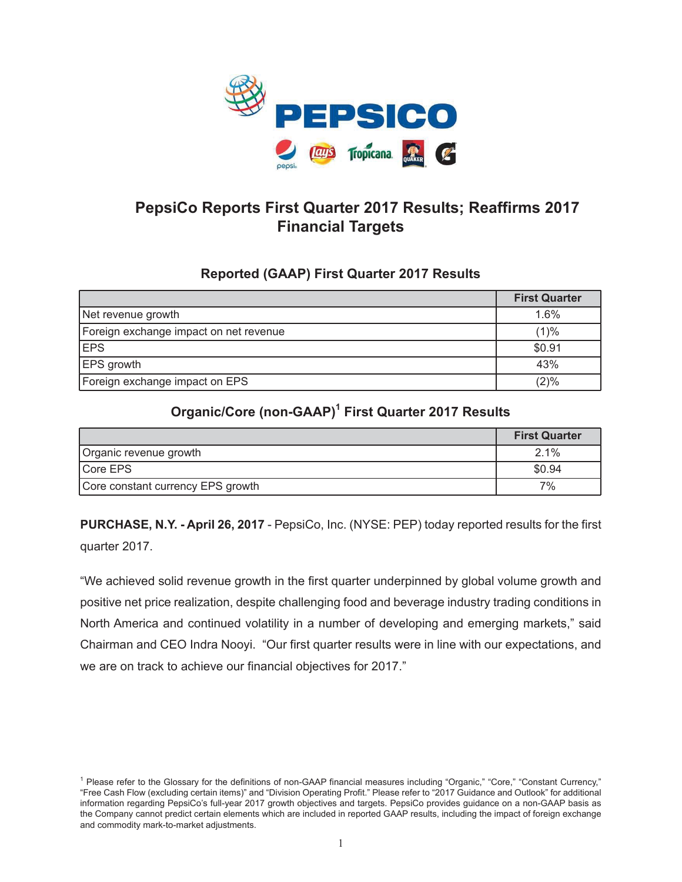

# **PepsiCo Reports First Quarter 2017 Results; Reaffirms 2017 Financial Targets**

## **Reported (GAAP) First Quarter 2017 Results**

|                                        | <b>First Quarter</b> |
|----------------------------------------|----------------------|
| Net revenue growth                     | 1.6%                 |
| Foreign exchange impact on net revenue | (1)%                 |
| <b>EPS</b>                             | \$0.91               |
| <b>EPS</b> growth                      | 43%                  |
| Foreign exchange impact on EPS         | (2)%                 |

## **Organic/Core (non-GAAP)1 First Quarter 2017 Results**

|                                   | <b>First Quarter</b> |
|-----------------------------------|----------------------|
| Organic revenue growth            | $2.1\%$              |
| Core EPS                          | \$0.94               |
| Core constant currency EPS growth | 7%                   |

**PURCHASE, N.Y. - April 26, 2017** - PepsiCo, Inc. (NYSE: PEP) today reported results for the first quarter 2017.

"We achieved solid revenue growth in the first quarter underpinned by global volume growth and positive net price realization, despite challenging food and beverage industry trading conditions in North America and continued volatility in a number of developing and emerging markets," said Chairman and CEO Indra Nooyi. "Our first quarter results were in line with our expectations, and we are on track to achieve our financial objectives for 2017."

<sup>&</sup>lt;sup>1</sup> Please refer to the Glossary for the definitions of non-GAAP financial measures including "Organic," "Core," "Constant Currency," "Free Cash Flow (excluding certain items)" and "Division Operating Profit." Please refer to "2017 Guidance and Outlook" for additional information regarding PepsiCo's full-year 2017 growth objectives and targets. PepsiCo provides guidance on a non-GAAP basis as the Company cannot predict certain elements which are included in reported GAAP results, including the impact of foreign exchange and commodity mark-to-market adjustments.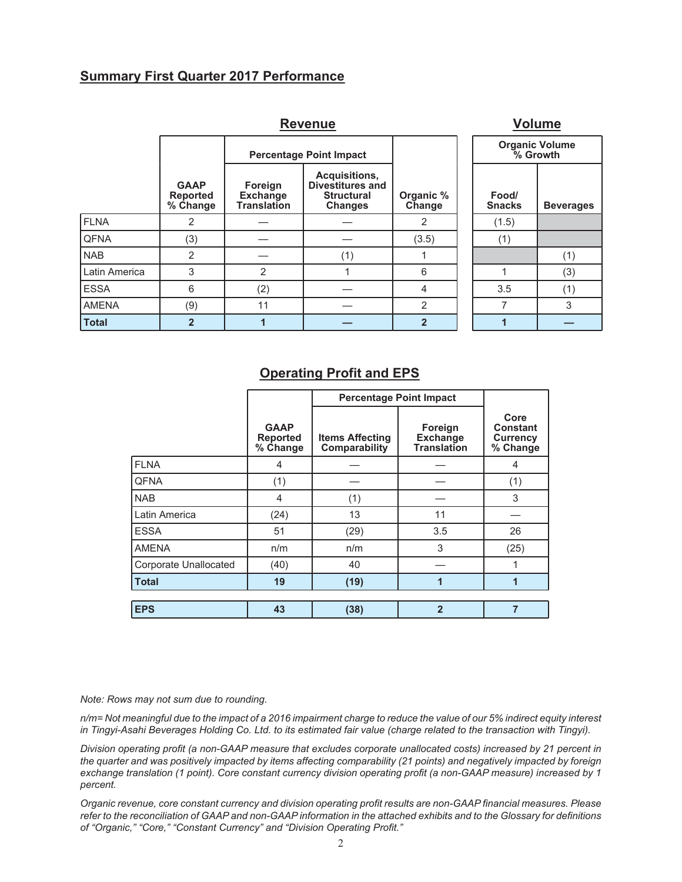## **Summary First Quarter 2017 Performance**

|               | <b>Volume</b>                              |                                                  |                                                                                 |                     |                        |                                   |
|---------------|--------------------------------------------|--------------------------------------------------|---------------------------------------------------------------------------------|---------------------|------------------------|-----------------------------------|
|               |                                            |                                                  | <b>Percentage Point Impact</b>                                                  |                     |                        | <b>Organic Volume</b><br>% Growth |
|               | <b>GAAP</b><br><b>Reported</b><br>% Change | Foreign<br><b>Exchange</b><br><b>Translation</b> | Acquisitions,<br><b>Divestitures and</b><br><b>Structural</b><br><b>Changes</b> | Organic %<br>Change | Food/<br><b>Snacks</b> | <b>Beverages</b>                  |
| <b>FLNA</b>   | 2                                          |                                                  |                                                                                 | 2                   | (1.5)                  |                                   |
| <b>QFNA</b>   | (3)                                        |                                                  |                                                                                 | (3.5)               | (1)                    |                                   |
| <b>NAB</b>    | 2                                          |                                                  | (1)                                                                             |                     |                        | (1)                               |
| Latin America | 3                                          | $\overline{2}$                                   |                                                                                 | 6                   |                        | (3)                               |
| <b>ESSA</b>   | 6                                          | (2)                                              |                                                                                 | 4                   | 3.5                    | (1)                               |
| <b>AMENA</b>  | (9)                                        | 11                                               |                                                                                 | $\overline{2}$      | 7                      | 3                                 |
| <b>Total</b>  | $\overline{2}$                             |                                                  |                                                                                 | $\overline{2}$      |                        |                                   |

## **Operating Profit and EPS**

|                       |                                            | <b>Percentage Point Impact</b>          |                                                  |                                                        |
|-----------------------|--------------------------------------------|-----------------------------------------|--------------------------------------------------|--------------------------------------------------------|
|                       | <b>GAAP</b><br><b>Reported</b><br>% Change | <b>Items Affecting</b><br>Comparability | Foreign<br><b>Exchange</b><br><b>Translation</b> | Core<br><b>Constant</b><br><b>Currency</b><br>% Change |
| <b>FLNA</b>           | 4                                          |                                         |                                                  | 4                                                      |
| <b>QFNA</b>           | (1)                                        |                                         |                                                  | (1)                                                    |
| <b>NAB</b>            | 4                                          | (1)                                     |                                                  | 3                                                      |
| Latin America         | (24)                                       | 13                                      | 11                                               |                                                        |
| <b>ESSA</b>           | 51                                         | (29)                                    | 3.5                                              | 26                                                     |
| <b>AMENA</b>          | n/m                                        | n/m                                     | 3                                                | (25)                                                   |
| Corporate Unallocated | (40)                                       | 40                                      |                                                  |                                                        |
| <b>Total</b>          | 19                                         | (19)                                    | 1                                                | 1                                                      |
|                       |                                            |                                         |                                                  |                                                        |
| <b>EPS</b>            | 43                                         | (38)                                    | $\overline{2}$                                   | $\overline{7}$                                         |

*Note: Rows may not sum due to rounding.*

*n/m= Not meaningful due to the impact of a 2016 impairment charge to reduce the value of our 5% indirect equity interest in Tingyi-Asahi Beverages Holding Co. Ltd. to its estimated fair value (charge related to the transaction with Tingyi).*

*Division operating profit (a non-GAAP measure that excludes corporate unallocated costs) increased by 21 percent in the quarter and was positively impacted by items affecting comparability (21 points) and negatively impacted by foreign exchange translation (1 point). Core constant currency division operating profit (a non-GAAP measure) increased by 1 percent.*

*Organic revenue, core constant currency and division operating profit results are non-GAAP financial measures. Please refer to the reconciliation of GAAP and non-GAAP information in the attached exhibits and to the Glossary for definitions of "Organic," "Core," "Constant Currency" and "Division Operating Profit."*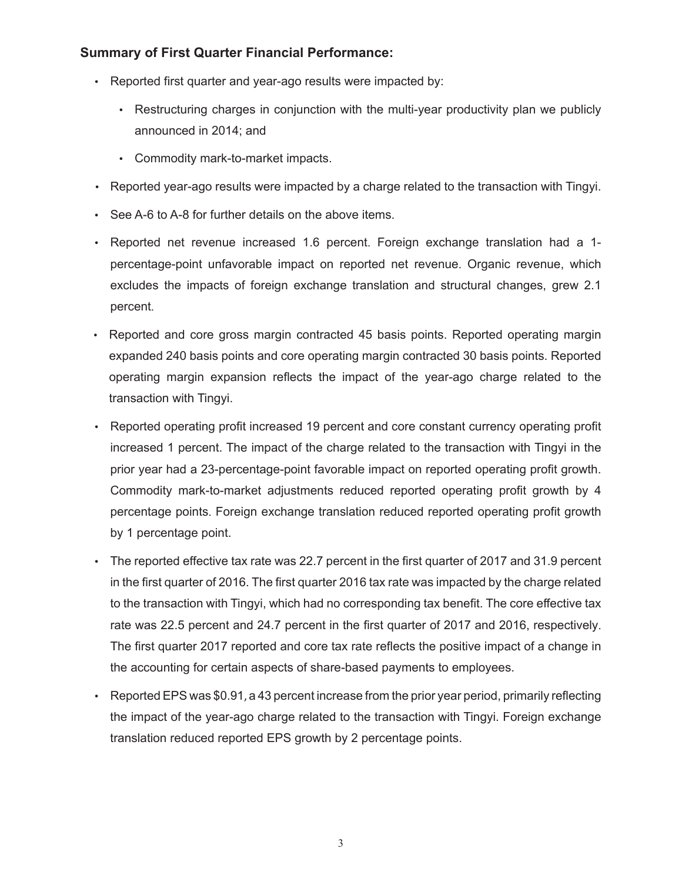## **Summary of First Quarter Financial Performance:**

- Reported first quarter and year-ago results were impacted by:
	- Restructuring charges in conjunction with the multi-year productivity plan we publicly announced in 2014; and
	- Commodity mark-to-market impacts.
- Reported year-ago results were impacted by a charge related to the transaction with Tingyi.
- See A-6 to A-8 for further details on the above items.
- Reported net revenue increased 1.6 percent. Foreign exchange translation had a 1 percentage-point unfavorable impact on reported net revenue. Organic revenue, which excludes the impacts of foreign exchange translation and structural changes, grew 2.1 percent.
- Reported and core gross margin contracted 45 basis points. Reported operating margin expanded 240 basis points and core operating margin contracted 30 basis points. Reported operating margin expansion reflects the impact of the year-ago charge related to the transaction with Tingyi.
- Reported operating profit increased 19 percent and core constant currency operating profit increased 1 percent. The impact of the charge related to the transaction with Tingyi in the prior year had a 23-percentage-point favorable impact on reported operating profit growth. Commodity mark-to-market adjustments reduced reported operating profit growth by 4 percentage points. Foreign exchange translation reduced reported operating profit growth by 1 percentage point.
- The reported effective tax rate was 22.7 percent in the first quarter of 2017 and 31.9 percent in the first quarter of 2016. The first quarter 2016 tax rate was impacted by the charge related to the transaction with Tingyi, which had no corresponding tax benefit. The core effective tax rate was 22.5 percent and 24.7 percent in the first quarter of 2017 and 2016, respectively. The first quarter 2017 reported and core tax rate reflects the positive impact of a change in the accounting for certain aspects of share-based payments to employees.
- Reported EPS was \$0.91, a 43 percent increase from the prior year period, primarily reflecting the impact of the year-ago charge related to the transaction with Tingyi. Foreign exchange translation reduced reported EPS growth by 2 percentage points.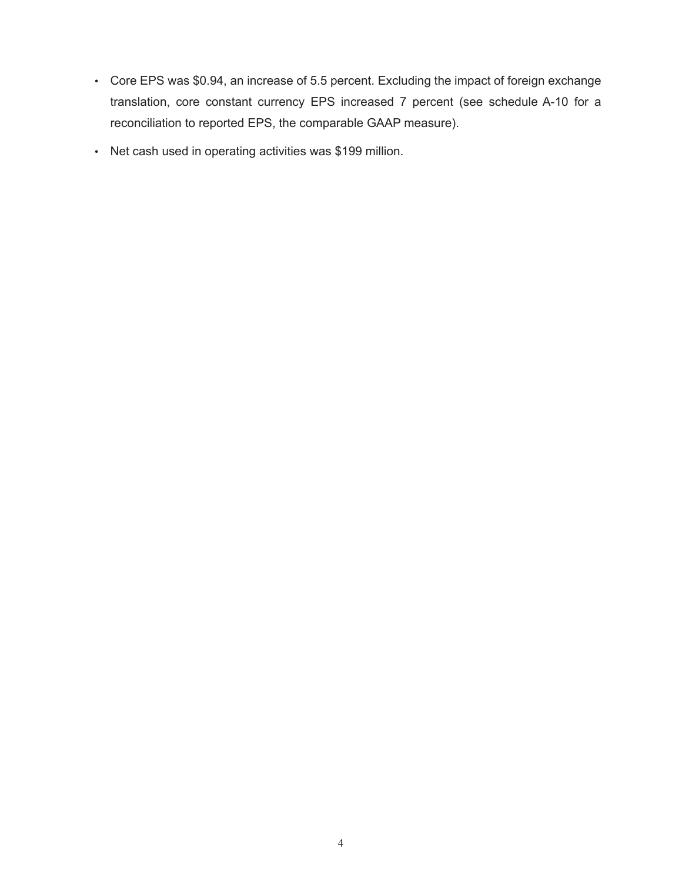- Core EPS was \$0.94, an increase of 5.5 percent. Excluding the impact of foreign exchange translation, core constant currency EPS increased 7 percent (see schedule A-10 for a reconciliation to reported EPS, the comparable GAAP measure).
- Net cash used in operating activities was \$199 million.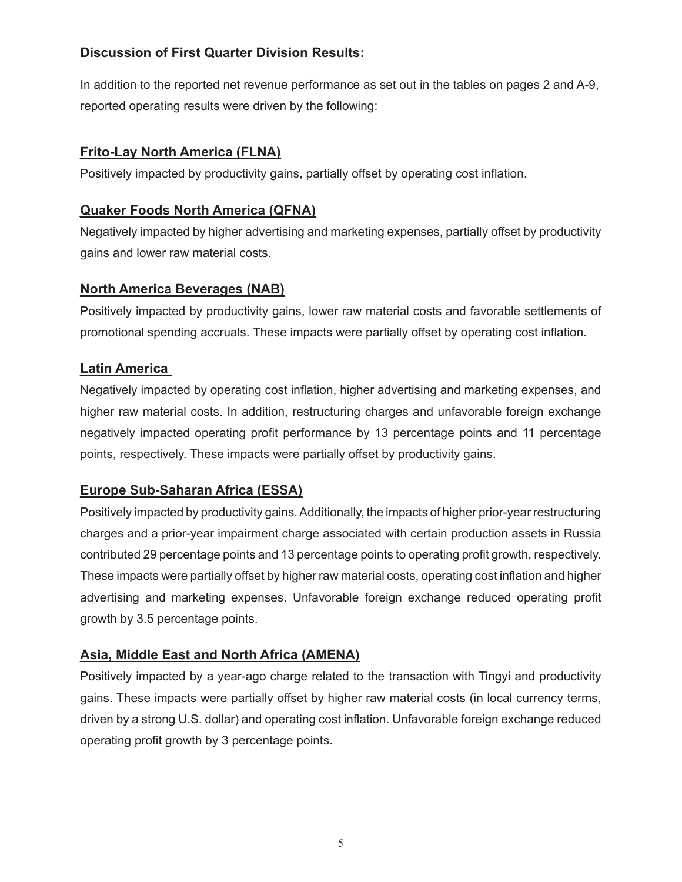## **Discussion of First Quarter Division Results:**

In addition to the reported net revenue performance as set out in the tables on pages 2 and A-9, reported operating results were driven by the following:

## **Frito-Lay North America (FLNA)**

Positively impacted by productivity gains, partially offset by operating cost inflation.

## **Quaker Foods North America (QFNA)**

Negatively impacted by higher advertising and marketing expenses, partially offset by productivity gains and lower raw material costs.

## **North America Beverages (NAB)**

Positively impacted by productivity gains, lower raw material costs and favorable settlements of promotional spending accruals. These impacts were partially offset by operating cost inflation.

## **Latin America**

Negatively impacted by operating cost inflation, higher advertising and marketing expenses, and higher raw material costs. In addition, restructuring charges and unfavorable foreign exchange negatively impacted operating profit performance by 13 percentage points and 11 percentage points, respectively. These impacts were partially offset by productivity gains.

## **Europe Sub-Saharan Africa (ESSA)**

Positively impacted by productivity gains. Additionally, the impacts of higher prior-year restructuring charges and a prior-year impairment charge associated with certain production assets in Russia contributed 29 percentage points and 13 percentage points to operating profit growth, respectively. These impacts were partially offset by higher raw material costs, operating cost inflation and higher advertising and marketing expenses. Unfavorable foreign exchange reduced operating profit growth by 3.5 percentage points.

## **Asia, Middle East and North Africa (AMENA)**

Positively impacted by a year-ago charge related to the transaction with Tingyi and productivity gains. These impacts were partially offset by higher raw material costs (in local currency terms, driven by a strong U.S. dollar) and operating cost inflation. Unfavorable foreign exchange reduced operating profit growth by 3 percentage points.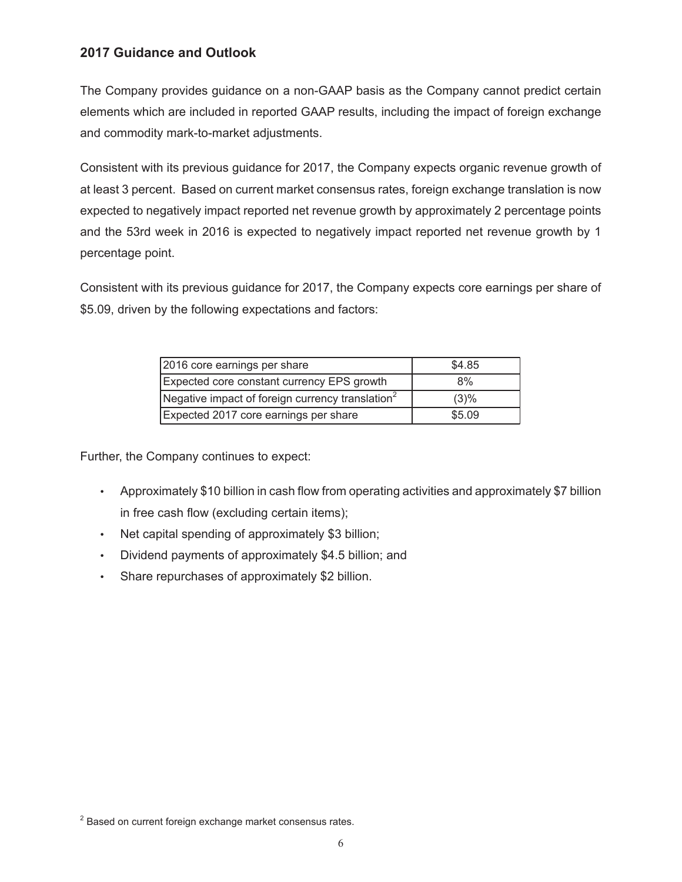## **2017 Guidance and Outlook**

The Company provides guidance on a non-GAAP basis as the Company cannot predict certain elements which are included in reported GAAP results, including the impact of foreign exchange and commodity mark-to-market adjustments.

Consistent with its previous guidance for 2017, the Company expects organic revenue growth of at least 3 percent. Based on current market consensus rates, foreign exchange translation is now expected to negatively impact reported net revenue growth by approximately 2 percentage points and the 53rd week in 2016 is expected to negatively impact reported net revenue growth by 1 percentage point.

Consistent with its previous guidance for 2017, the Company expects core earnings per share of \$5.09, driven by the following expectations and factors:

| 2016 core earnings per share                                 | \$4.85 |
|--------------------------------------------------------------|--------|
| Expected core constant currency EPS growth                   | 8%     |
| Negative impact of foreign currency translation <sup>2</sup> | (3)%   |
| Expected 2017 core earnings per share                        | \$5.09 |

Further, the Company continues to expect:

- Approximately \$10 billion in cash flow from operating activities and approximately \$7 billion in free cash flow (excluding certain items);
- Net capital spending of approximately \$3 billion;
- Dividend payments of approximately \$4.5 billion; and
- Share repurchases of approximately \$2 billion.

 $2$  Based on current foreign exchange market consensus rates.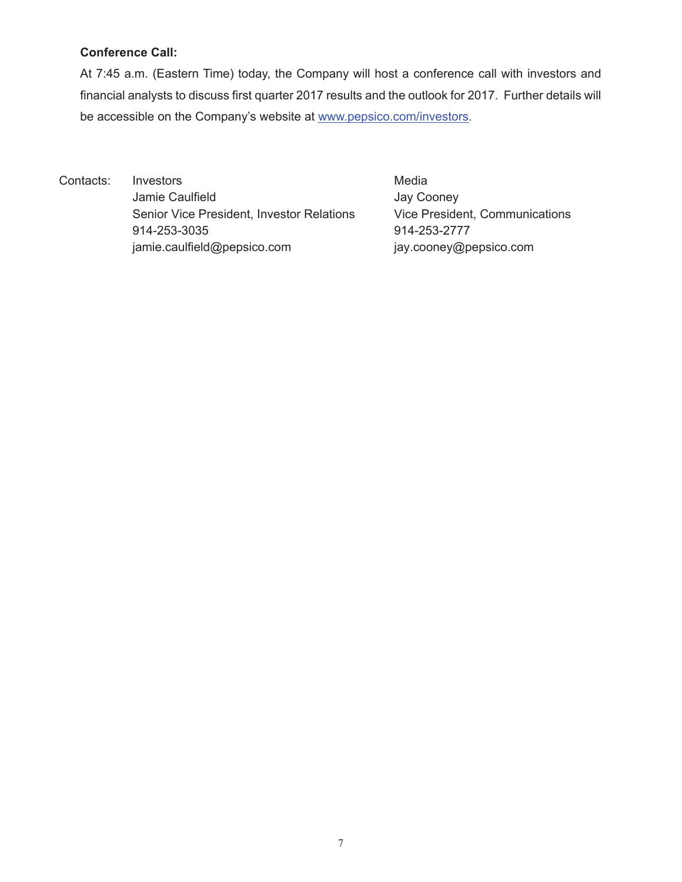## **Conference Call:**

At 7:45 a.m. (Eastern Time) today, the Company will host a conference call with investors and financial analysts to discuss first quarter 2017 results and the outlook for 2017. Further details will be accessible on the Company's website at www.pepsico.com/investors.

Contacts: Investors **Media** Jamie Caulfield **Jay Cooney** Senior Vice President, Investor Relations Vice President, Communications 914-253-3035 914-253-2777 jamie.caulfield@pepsico.com jay.cooney@pepsico.com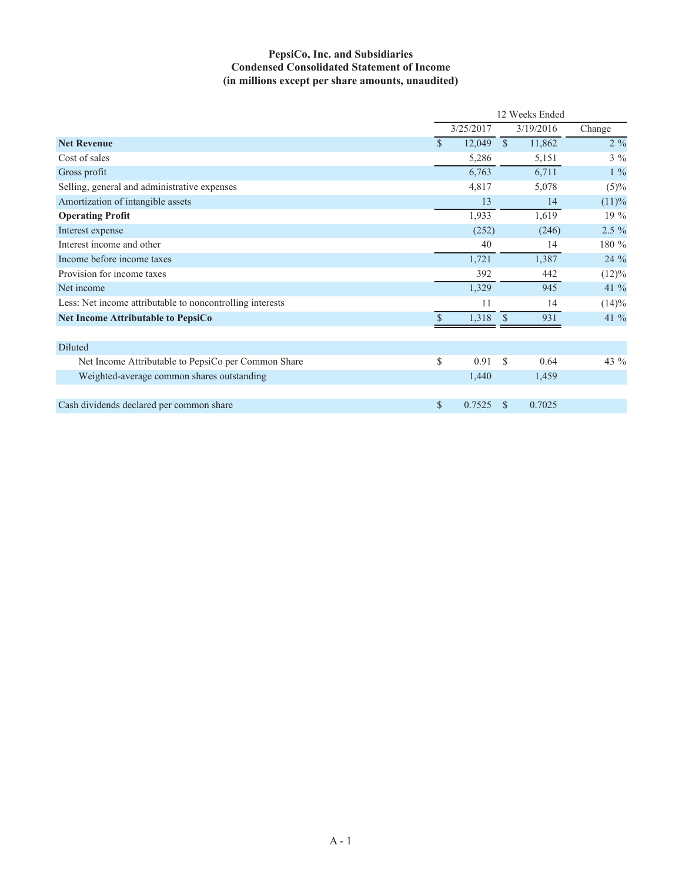## **PepsiCo, Inc. and Subsidiaries Condensed Consolidated Statement of Income (in millions except per share amounts, unaudited)**

|                                                           | 12 Weeks Ended |           |               |           |          |
|-----------------------------------------------------------|----------------|-----------|---------------|-----------|----------|
|                                                           |                | 3/25/2017 |               | 3/19/2016 | Change   |
| <b>Net Revenue</b>                                        | $\mathcal{S}$  | 12,049    | $\mathbb{S}$  | 11,862    | $2\%$    |
| Cost of sales                                             |                | 5,286     |               | 5,151     | $3\%$    |
| Gross profit                                              |                | 6,763     |               | 6,711     | $1\%$    |
| Selling, general and administrative expenses              |                | 4,817     |               | 5,078     | (5)%     |
| Amortization of intangible assets                         |                | 13        |               | 14        | (11)%    |
| <b>Operating Profit</b>                                   |                | 1,933     |               | 1,619     | 19 %     |
| Interest expense                                          |                | (252)     |               | (246)     | 2.5 %    |
| Interest income and other                                 |                | 40        |               | 14        | 180 %    |
| Income before income taxes                                |                | 1,721     |               | 1,387     | 24 %     |
| Provision for income taxes                                |                | 392       |               | 442       | $(12)\%$ |
| Net income                                                |                | 1,329     |               | 945       | 41 %     |
| Less: Net income attributable to noncontrolling interests |                | 11        |               | 14        | (14)%    |
| <b>Net Income Attributable to PepsiCo</b>                 | $\mathcal{S}$  | 1,318     |               | 931       | 41 %     |
| Diluted                                                   |                |           |               |           |          |
| Net Income Attributable to PepsiCo per Common Share       | \$             | 0.91      | <sup>\$</sup> | 0.64      | 43 %     |
| Weighted-average common shares outstanding                |                | 1,440     |               | 1,459     |          |
|                                                           |                |           |               |           |          |
| Cash dividends declared per common share                  | $\mathbb{S}$   | 0.7525    | <b>S</b>      | 0.7025    |          |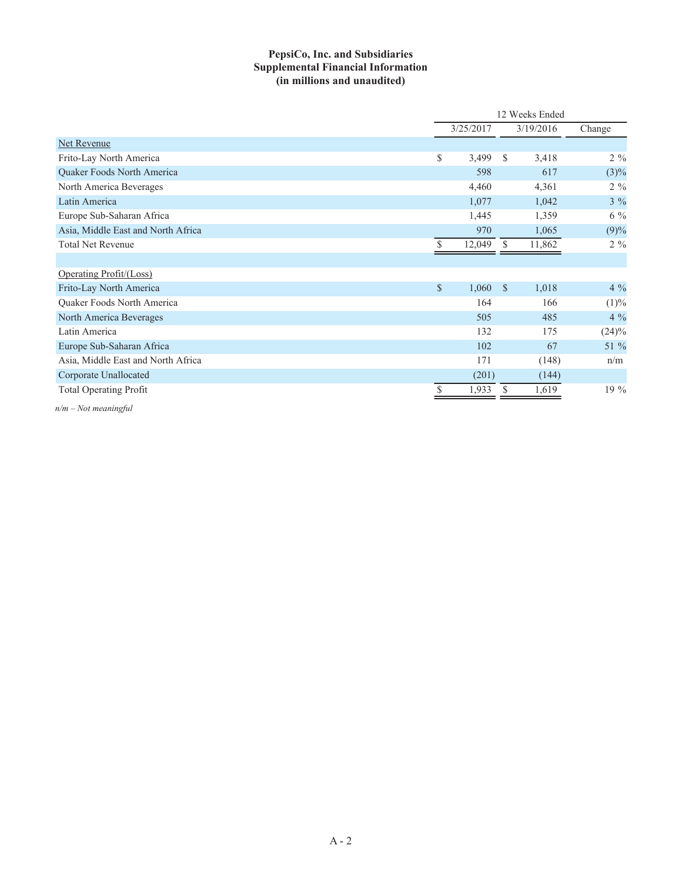## **PepsiCo, Inc. and Subsidiaries Supplemental Financial Information (in millions and unaudited)**

|                                    |               | 12 Weeks Ended |              |           |                |
|------------------------------------|---------------|----------------|--------------|-----------|----------------|
|                                    |               | 3/25/2017      |              | 3/19/2016 | Change         |
| Net Revenue                        |               |                |              |           |                |
| Frito-Lay North America            | \$            | 3,499          | <sup>S</sup> | 3,418     | $2\%$          |
| <b>Ouaker Foods North America</b>  |               | 598            |              | 617       | $(3)\%$        |
| North America Beverages            |               | 4,460          |              | 4,361     | $2\frac{9}{6}$ |
| Latin America                      |               | 1,077          |              | 1,042     | $3\%$          |
| Europe Sub-Saharan Africa          |               | 1,445          |              | 1,359     | $6\%$          |
| Asia, Middle East and North Africa |               | 970            |              | 1,065     | (9)%           |
| <b>Total Net Revenue</b>           |               | 12,049         | <sup>S</sup> | 11,862    | $2\%$          |
|                                    |               |                |              |           |                |
| Operating Profit/(Loss)            |               |                |              |           |                |
| Frito-Lay North America            | $\mathcal{S}$ | 1,060          | -S           | 1,018     | $4\%$          |
| Quaker Foods North America         |               | 164            |              | 166       | (1)%           |
| North America Beverages            |               | 505            |              | 485       | $4\%$          |
| Latin America                      |               | 132            |              | 175       | $(24)\%$       |
| Europe Sub-Saharan Africa          |               | 102            |              | 67        | 51 %           |
| Asia, Middle East and North Africa |               | 171            |              | (148)     | n/m            |
| Corporate Unallocated              |               | (201)          |              | (144)     |                |
| <b>Total Operating Profit</b>      |               | 1,933          |              | 1,619     | $19\%$         |

*n/m – Not meaningful*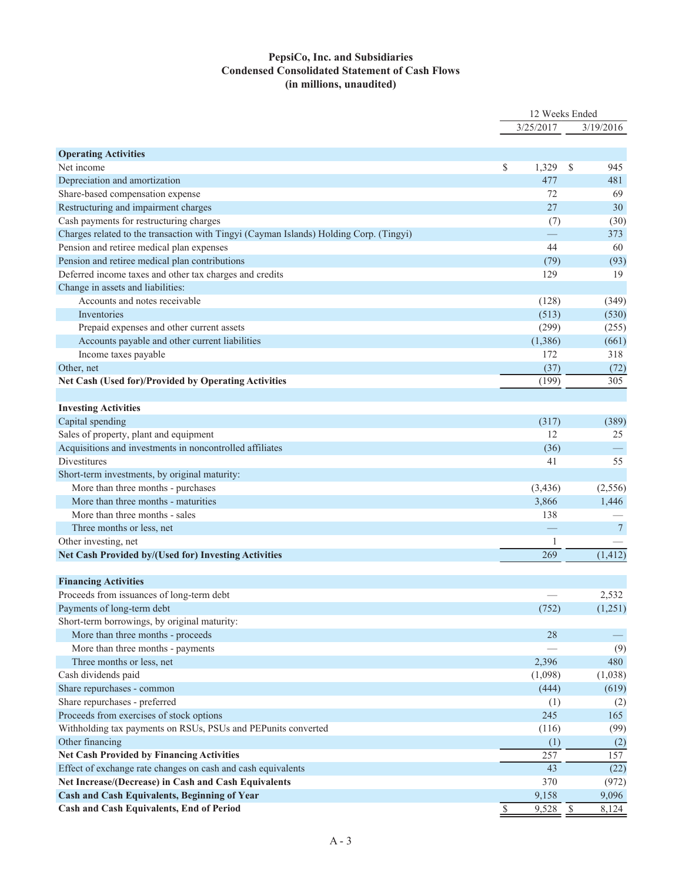### **PepsiCo, Inc. and Subsidiaries Condensed Consolidated Statement of Cash Flows (in millions, unaudited)**

|                                                                                        | 12 Weeks Ended |              |    |                 |
|----------------------------------------------------------------------------------------|----------------|--------------|----|-----------------|
|                                                                                        |                | 3/25/2017    |    | 3/19/2016       |
|                                                                                        |                |              |    |                 |
| <b>Operating Activities</b><br>Net income                                              | \$             | 1,329        | \$ | 945             |
| Depreciation and amortization                                                          |                | 477          |    | 481             |
| Share-based compensation expense                                                       |                | 72           |    | 69              |
| Restructuring and impairment charges                                                   |                | 27           |    | 30              |
| Cash payments for restructuring charges                                                |                | (7)          |    | (30)            |
| Charges related to the transaction with Tingyi (Cayman Islands) Holding Corp. (Tingyi) |                |              |    | 373             |
| Pension and retiree medical plan expenses                                              |                | 44           |    | 60              |
| Pension and retiree medical plan contributions                                         |                | (79)         |    | (93)            |
| Deferred income taxes and other tax charges and credits                                |                | 129          |    | 19              |
| Change in assets and liabilities:                                                      |                |              |    |                 |
| Accounts and notes receivable                                                          |                | (128)        |    | (349)           |
| Inventories                                                                            |                | (513)        |    | (530)           |
|                                                                                        |                | (299)        |    | (255)           |
| Prepaid expenses and other current assets                                              |                | (1,386)      |    |                 |
| Accounts payable and other current liabilities                                         |                |              |    | (661)           |
| Income taxes payable                                                                   |                | 172          |    | 318             |
| Other, net                                                                             |                | (37)         |    | (72)            |
| Net Cash (Used for)/Provided by Operating Activities                                   |                | (199)        |    | 305             |
|                                                                                        |                |              |    |                 |
| <b>Investing Activities</b>                                                            |                |              |    |                 |
| Capital spending                                                                       |                | (317)        |    | (389)           |
| Sales of property, plant and equipment                                                 |                | 12           |    | 25              |
| Acquisitions and investments in noncontrolled affiliates                               |                | (36)         |    |                 |
| Divestitures                                                                           |                | 41           |    | 55              |
| Short-term investments, by original maturity:                                          |                |              |    |                 |
| More than three months - purchases                                                     |                | (3,436)      |    | (2,556)         |
| More than three months - maturities                                                    |                | 3,866        |    | 1,446           |
| More than three months - sales                                                         |                | 138          |    |                 |
| Three months or less, net                                                              |                |              |    | $7\phantom{.0}$ |
| Other investing, net                                                                   |                | $\mathbf{1}$ |    |                 |
| Net Cash Provided by/(Used for) Investing Activities                                   |                | 269          |    | (1, 412)        |
| <b>Financing Activities</b>                                                            |                |              |    |                 |
| Proceeds from issuances of long-term debt                                              |                |              |    | 2,532           |
| Payments of long-term debt                                                             |                | (752)        |    | (1,251)         |
| Short-term borrowings, by original maturity:                                           |                |              |    |                 |
| More than three months - proceeds                                                      |                | 28           |    |                 |
| More than three months - payments                                                      |                |              |    | (9)             |
| Three months or less, net                                                              |                | 2,396        |    | 480             |
| Cash dividends paid                                                                    |                |              |    |                 |
|                                                                                        |                | (1,098)      |    | (1,038)         |
| Share repurchases - common<br>Share repurchases - preferred                            |                | (444)        |    | (619)           |
|                                                                                        |                | (1)          |    | (2)             |
| Proceeds from exercises of stock options                                               |                | 245          |    | 165             |
| Withholding tax payments on RSUs, PSUs and PEPunits converted                          |                | (116)        |    | (99)            |
| Other financing                                                                        |                | (1)          |    | (2)             |
| <b>Net Cash Provided by Financing Activities</b>                                       |                | 257          |    | 157             |
| Effect of exchange rate changes on cash and cash equivalents                           |                | 43           |    | (22)            |
| Net Increase/(Decrease) in Cash and Cash Equivalents                                   |                | 370          |    | (972)           |
| Cash and Cash Equivalents, Beginning of Year                                           |                | 9,158        |    | 9,096           |
| Cash and Cash Equivalents, End of Period                                               | \$             | 9,528        | \$ | 8,124           |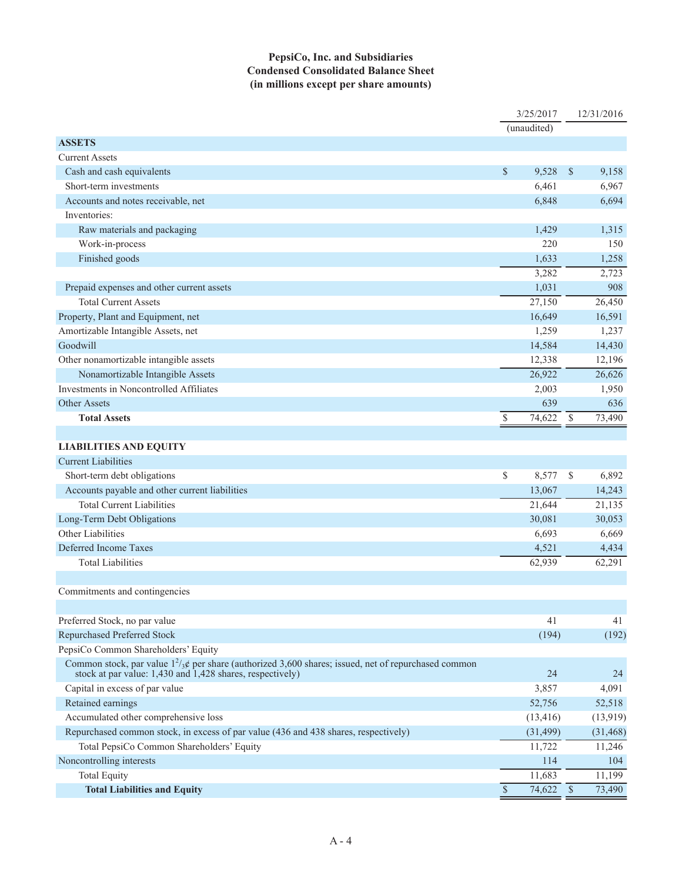### **PepsiCo, Inc. and Subsidiaries Condensed Consolidated Balance Sheet (in millions except per share amounts)**

|                                                                                                                |               | 3/25/2017   |                          | 12/31/2016 |
|----------------------------------------------------------------------------------------------------------------|---------------|-------------|--------------------------|------------|
|                                                                                                                |               | (unaudited) |                          |            |
| <b>ASSETS</b>                                                                                                  |               |             |                          |            |
| <b>Current Assets</b>                                                                                          |               |             |                          |            |
| Cash and cash equivalents                                                                                      | $\mathcal{S}$ | 9,528       | $\mathbb{S}$             | 9,158      |
| Short-term investments                                                                                         |               | 6,461       |                          | 6,967      |
| Accounts and notes receivable, net                                                                             |               | 6,848       |                          | 6,694      |
| Inventories:                                                                                                   |               |             |                          |            |
| Raw materials and packaging                                                                                    |               | 1,429       |                          | 1,315      |
| Work-in-process                                                                                                |               | 220         |                          | 150        |
| Finished goods                                                                                                 |               | 1,633       |                          | 1,258      |
|                                                                                                                |               | 3,282       |                          | 2,723      |
| Prepaid expenses and other current assets                                                                      |               | 1,031       |                          | 908        |
| <b>Total Current Assets</b>                                                                                    |               | 27,150      |                          | 26,450     |
| Property, Plant and Equipment, net                                                                             |               | 16,649      |                          | 16,591     |
| Amortizable Intangible Assets, net                                                                             |               | 1,259       |                          | 1,237      |
| Goodwill                                                                                                       |               | 14,584      |                          | 14,430     |
| Other nonamortizable intangible assets                                                                         |               | 12,338      |                          | 12,196     |
| Nonamortizable Intangible Assets                                                                               |               | 26,922      |                          | 26,626     |
| Investments in Noncontrolled Affiliates                                                                        |               | 2,003       |                          | 1,950      |
| <b>Other Assets</b>                                                                                            |               | 639         |                          | 636        |
| <b>Total Assets</b>                                                                                            | \$            | 74,622      | \$                       | 73,490     |
|                                                                                                                |               |             |                          |            |
| <b>LIABILITIES AND EQUITY</b>                                                                                  |               |             |                          |            |
| <b>Current Liabilities</b>                                                                                     |               |             |                          |            |
| Short-term debt obligations                                                                                    | \$            | 8,577       | \$                       | 6,892      |
| Accounts payable and other current liabilities                                                                 |               | 13,067      |                          | 14,243     |
| <b>Total Current Liabilities</b>                                                                               |               | 21,644      |                          | 21,135     |
| Long-Term Debt Obligations                                                                                     |               | 30,081      |                          | 30,053     |
| Other Liabilities                                                                                              |               | 6,693       |                          | 6,669      |
| Deferred Income Taxes                                                                                          |               | 4,521       |                          | 4,434      |
| <b>Total Liabilities</b>                                                                                       |               | 62,939      |                          | 62,291     |
|                                                                                                                |               |             |                          |            |
| Commitments and contingencies                                                                                  |               |             |                          |            |
|                                                                                                                |               |             |                          |            |
| Preferred Stock, no par value                                                                                  |               | 41          |                          | 41         |
| Repurchased Preferred Stock                                                                                    |               | (194)       |                          | (192)      |
| PepsiCo Common Shareholders' Equity                                                                            |               |             |                          |            |
| Common stock, par value $1^2/\cancel{s}$ per share (authorized 3,600 shares; issued, net of repurchased common |               |             |                          |            |
| stock at par value: 1,430 and 1,428 shares, respectively)                                                      |               | 24          |                          | 24         |
| Capital in excess of par value                                                                                 |               | 3,857       |                          | 4,091      |
| Retained earnings                                                                                              |               | 52,756      |                          | 52,518     |
| Accumulated other comprehensive loss                                                                           |               | (13, 416)   |                          | (13, 919)  |
| Repurchased common stock, in excess of par value (436 and 438 shares, respectively)                            |               | (31, 499)   |                          | (31, 468)  |
| Total PepsiCo Common Shareholders' Equity                                                                      |               | 11,722      |                          | 11,246     |
| Noncontrolling interests                                                                                       |               | 114         |                          | 104        |
| <b>Total Equity</b>                                                                                            |               | 11,683      |                          | 11,199     |
| <b>Total Liabilities and Equity</b>                                                                            | $\mathcal{S}$ | 74,622      | $\overline{\mathcal{S}}$ | 73,490     |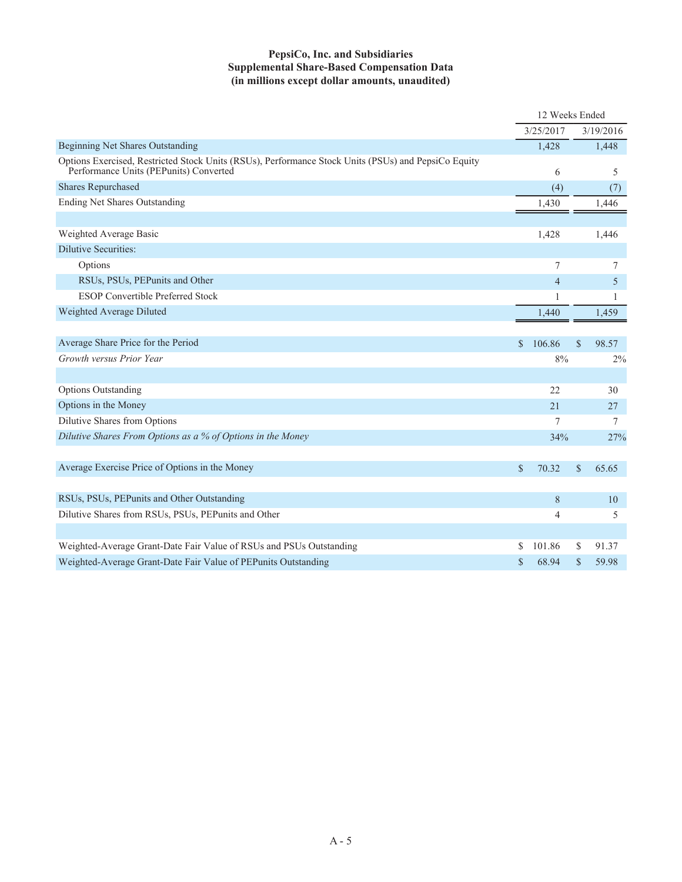## **PepsiCo, Inc. and Subsidiaries Supplemental Share-Based Compensation Data (in millions except dollar amounts, unaudited)**

|                                                                                                                                               |                | 12 Weeks Ended |               |           |
|-----------------------------------------------------------------------------------------------------------------------------------------------|----------------|----------------|---------------|-----------|
|                                                                                                                                               |                | 3/25/2017      |               | 3/19/2016 |
| Beginning Net Shares Outstanding                                                                                                              |                | 1,428          |               | 1,448     |
| Options Exercised, Restricted Stock Units (RSUs), Performance Stock Units (PSUs) and PepsiCo Equity<br>Performance Units (PEPunits) Converted |                | 6              |               | 5         |
| <b>Shares Repurchased</b>                                                                                                                     |                | (4)            |               | (7)       |
| <b>Ending Net Shares Outstanding</b>                                                                                                          |                | 1,430          |               | 1,446     |
|                                                                                                                                               |                |                |               |           |
| Weighted Average Basic                                                                                                                        |                | 1,428          |               | 1,446     |
| <b>Dilutive Securities:</b>                                                                                                                   |                |                |               |           |
| Options                                                                                                                                       |                | 7              |               | 7         |
| RSUs, PSUs, PEPunits and Other                                                                                                                |                | $\overline{4}$ |               | 5         |
| <b>ESOP Convertible Preferred Stock</b>                                                                                                       |                | 1              |               | 1         |
| Weighted Average Diluted                                                                                                                      |                | 1,440          |               | 1,459     |
|                                                                                                                                               |                |                |               |           |
| Average Share Price for the Period                                                                                                            | $\mathbb{S}^-$ | 106.86         | \$            | 98.57     |
| Growth versus Prior Year                                                                                                                      |                | $8\%$          |               | 2%        |
|                                                                                                                                               |                |                |               |           |
| <b>Options Outstanding</b>                                                                                                                    |                | 22             |               | 30        |
| Options in the Money                                                                                                                          |                | 21             |               | 27        |
| Dilutive Shares from Options                                                                                                                  |                | 7              |               | 7         |
| Dilutive Shares From Options as a % of Options in the Money                                                                                   |                | 34%            |               | 27%       |
|                                                                                                                                               |                |                |               |           |
| Average Exercise Price of Options in the Money                                                                                                | $\mathbf S$    | 70.32          | $\mathcal{S}$ | 65.65     |
|                                                                                                                                               |                |                |               |           |
| RSUs, PSUs, PEPunits and Other Outstanding                                                                                                    |                | 8              |               | 10        |
| Dilutive Shares from RSUs, PSUs, PEPunits and Other                                                                                           |                | $\overline{4}$ |               | 5         |
|                                                                                                                                               |                |                |               |           |
| Weighted-Average Grant-Date Fair Value of RSUs and PSUs Outstanding                                                                           | S              | 101.86         | \$            | 91.37     |
| Weighted-Average Grant-Date Fair Value of PEPunits Outstanding                                                                                | \$             | 68.94          | \$            | 59.98     |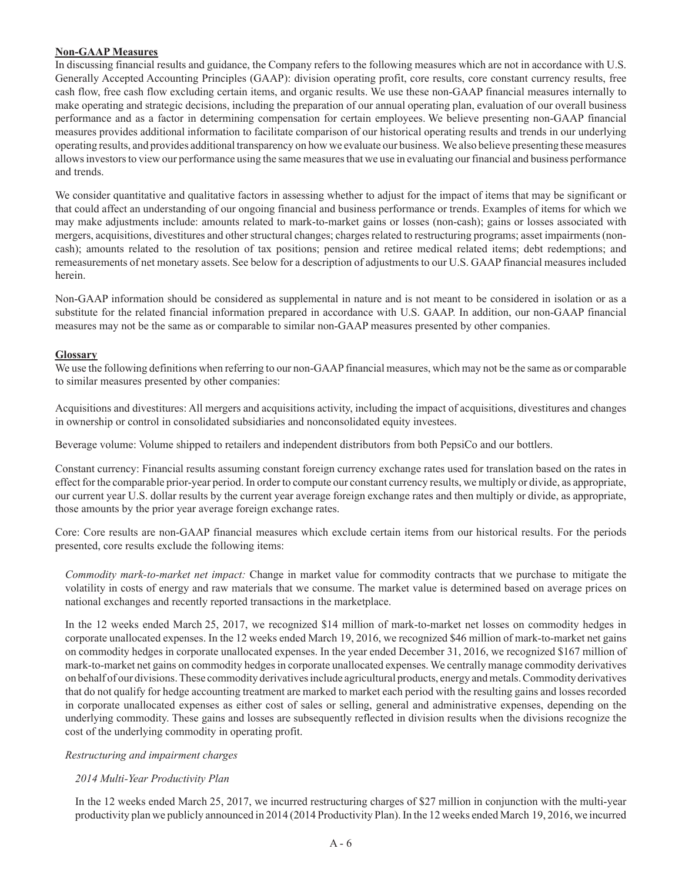### **Non-GAAP Measures**

In discussing financial results and guidance, the Company refers to the following measures which are not in accordance with U.S. Generally Accepted Accounting Principles (GAAP): division operating profit, core results, core constant currency results, free cash flow, free cash flow excluding certain items, and organic results. We use these non-GAAP financial measures internally to make operating and strategic decisions, including the preparation of our annual operating plan, evaluation of our overall business performance and as a factor in determining compensation for certain employees. We believe presenting non-GAAP financial measures provides additional information to facilitate comparison of our historical operating results and trends in our underlying operating results, and provides additional transparency on how we evaluate our business. We also believe presenting these measures allows investors to view our performance using the same measures that we use in evaluating our financial and business performance and trends.

We consider quantitative and qualitative factors in assessing whether to adjust for the impact of items that may be significant or that could affect an understanding of our ongoing financial and business performance or trends. Examples of items for which we may make adjustments include: amounts related to mark-to-market gains or losses (non-cash); gains or losses associated with mergers, acquisitions, divestitures and other structural changes; charges related to restructuring programs; asset impairments (noncash); amounts related to the resolution of tax positions; pension and retiree medical related items; debt redemptions; and remeasurements of net monetary assets. See below for a description of adjustments to our U.S. GAAP financial measures included herein.

Non-GAAP information should be considered as supplemental in nature and is not meant to be considered in isolation or as a substitute for the related financial information prepared in accordance with U.S. GAAP. In addition, our non-GAAP financial measures may not be the same as or comparable to similar non-GAAP measures presented by other companies.

### **Glossary**

We use the following definitions when referring to our non-GAAP financial measures, which may not be the same as or comparable to similar measures presented by other companies:

Acquisitions and divestitures: All mergers and acquisitions activity, including the impact of acquisitions, divestitures and changes in ownership or control in consolidated subsidiaries and nonconsolidated equity investees.

Beverage volume: Volume shipped to retailers and independent distributors from both PepsiCo and our bottlers.

Constant currency: Financial results assuming constant foreign currency exchange rates used for translation based on the rates in effect for the comparable prior-year period. In order to compute our constant currency results, we multiply or divide, as appropriate, our current year U.S. dollar results by the current year average foreign exchange rates and then multiply or divide, as appropriate, those amounts by the prior year average foreign exchange rates.

Core: Core results are non-GAAP financial measures which exclude certain items from our historical results. For the periods presented, core results exclude the following items:

*Commodity mark-to-market net impact:* Change in market value for commodity contracts that we purchase to mitigate the volatility in costs of energy and raw materials that we consume. The market value is determined based on average prices on national exchanges and recently reported transactions in the marketplace.

In the 12 weeks ended March 25, 2017, we recognized \$14 million of mark-to-market net losses on commodity hedges in corporate unallocated expenses. In the 12 weeks ended March 19, 2016, we recognized \$46 million of mark-to-market net gains on commodity hedges in corporate unallocated expenses. In the year ended December 31, 2016, we recognized \$167 million of mark-to-market net gains on commodity hedges in corporate unallocated expenses. We centrally manage commodity derivatives on behalf of our divisions. These commodity derivatives include agricultural products, energy and metals. Commodity derivatives that do not qualify for hedge accounting treatment are marked to market each period with the resulting gains and losses recorded in corporate unallocated expenses as either cost of sales or selling, general and administrative expenses, depending on the underlying commodity. These gains and losses are subsequently reflected in division results when the divisions recognize the cost of the underlying commodity in operating profit.

#### *Restructuring and impairment charges*

## *2014 Multi-Year Productivity Plan*

In the 12 weeks ended March 25, 2017, we incurred restructuring charges of \$27 million in conjunction with the multi-year productivity plan we publicly announced in 2014 (2014 Productivity Plan). In the 12 weeks ended March 19, 2016, we incurred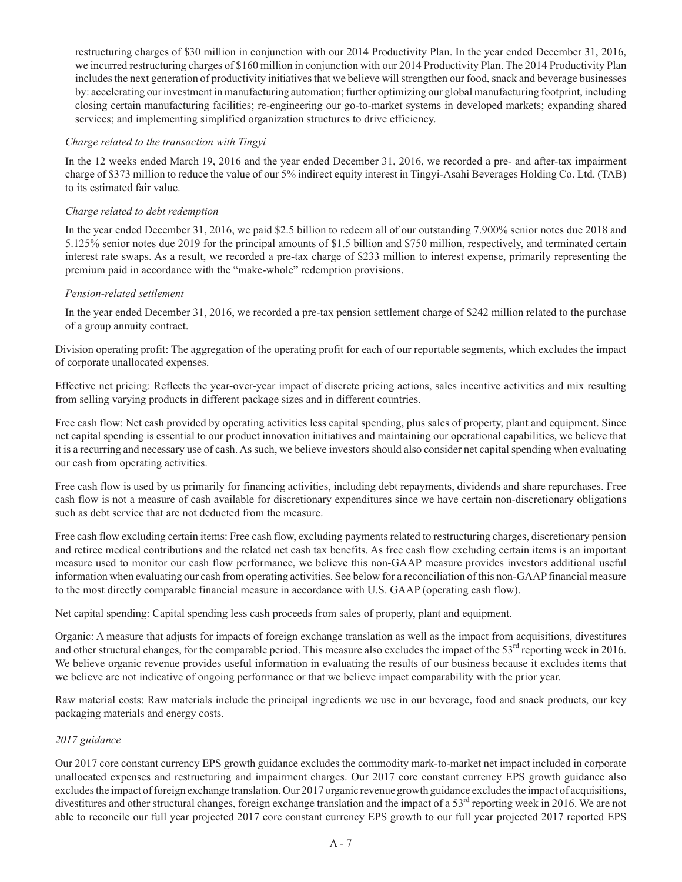restructuring charges of \$30 million in conjunction with our 2014 Productivity Plan. In the year ended December 31, 2016, we incurred restructuring charges of \$160 million in conjunction with our 2014 Productivity Plan. The 2014 Productivity Plan includes the next generation of productivity initiatives that we believe will strengthen our food, snack and beverage businesses by: accelerating our investment in manufacturing automation; further optimizing our global manufacturing footprint, including closing certain manufacturing facilities; re-engineering our go-to-market systems in developed markets; expanding shared services; and implementing simplified organization structures to drive efficiency.

### *Charge related to the transaction with Tingyi*

In the 12 weeks ended March 19, 2016 and the year ended December 31, 2016, we recorded a pre- and after-tax impairment charge of \$373 million to reduce the value of our 5% indirect equity interest in Tingyi-Asahi Beverages Holding Co. Ltd. (TAB) to its estimated fair value.

### *Charge related to debt redemption*

In the year ended December 31, 2016, we paid \$2.5 billion to redeem all of our outstanding 7.900% senior notes due 2018 and 5.125% senior notes due 2019 for the principal amounts of \$1.5 billion and \$750 million, respectively, and terminated certain interest rate swaps. As a result, we recorded a pre-tax charge of \$233 million to interest expense, primarily representing the premium paid in accordance with the "make-whole" redemption provisions.

### *Pension-related settlement*

In the year ended December 31, 2016, we recorded a pre-tax pension settlement charge of \$242 million related to the purchase of a group annuity contract.

Division operating profit: The aggregation of the operating profit for each of our reportable segments, which excludes the impact of corporate unallocated expenses.

Effective net pricing: Reflects the year-over-year impact of discrete pricing actions, sales incentive activities and mix resulting from selling varying products in different package sizes and in different countries.

Free cash flow: Net cash provided by operating activities less capital spending, plus sales of property, plant and equipment. Since net capital spending is essential to our product innovation initiatives and maintaining our operational capabilities, we believe that it is a recurring and necessary use of cash. As such, we believe investors should also consider net capital spending when evaluating our cash from operating activities.

Free cash flow is used by us primarily for financing activities, including debt repayments, dividends and share repurchases. Free cash flow is not a measure of cash available for discretionary expenditures since we have certain non-discretionary obligations such as debt service that are not deducted from the measure.

Free cash flow excluding certain items: Free cash flow, excluding payments related to restructuring charges, discretionary pension and retiree medical contributions and the related net cash tax benefits. As free cash flow excluding certain items is an important measure used to monitor our cash flow performance, we believe this non-GAAP measure provides investors additional useful information when evaluating our cash from operating activities. See below for a reconciliation of this non-GAAP financial measure to the most directly comparable financial measure in accordance with U.S. GAAP (operating cash flow).

Net capital spending: Capital spending less cash proceeds from sales of property, plant and equipment.

Organic: A measure that adjusts for impacts of foreign exchange translation as well as the impact from acquisitions, divestitures and other structural changes, for the comparable period. This measure also excludes the impact of the 53<sup>rd</sup> reporting week in 2016. We believe organic revenue provides useful information in evaluating the results of our business because it excludes items that we believe are not indicative of ongoing performance or that we believe impact comparability with the prior year.

Raw material costs: Raw materials include the principal ingredients we use in our beverage, food and snack products, our key packaging materials and energy costs.

## *2017 guidance*

Our 2017 core constant currency EPS growth guidance excludes the commodity mark-to-market net impact included in corporate unallocated expenses and restructuring and impairment charges. Our 2017 core constant currency EPS growth guidance also excludes the impact of foreign exchange translation. Our 2017 organic revenue growth guidance excludes the impact of acquisitions, divestitures and other structural changes, foreign exchange translation and the impact of a  $53<sup>rd</sup>$  reporting week in 2016. We are not able to reconcile our full year projected 2017 core constant currency EPS growth to our full year projected 2017 reported EPS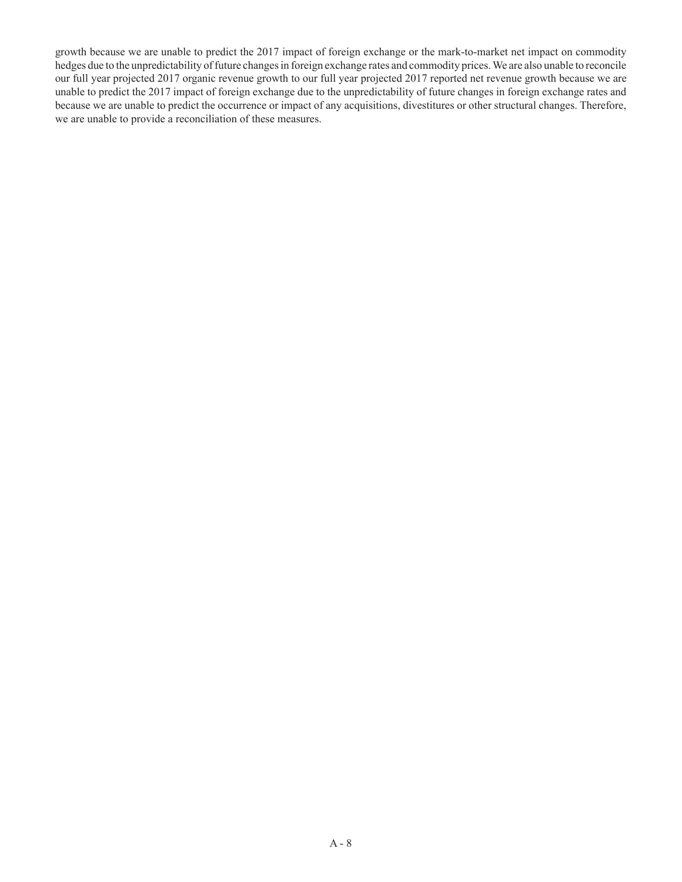growth because we are unable to predict the 2017 impact of foreign exchange or the mark-to-market net impact on commodity hedges due to the unpredictability of future changes in foreign exchange rates and commodity prices. We are also unable to reconcile our full year projected 2017 organic revenue growth to our full year projected 2017 reported net revenue growth because we are unable to predict the 2017 impact of foreign exchange due to the unpredictability of future changes in foreign exchange rates and because we are unable to predict the occurrence or impact of any acquisitions, divestitures or other structural changes. Therefore, we are unable to provide a reconciliation of these measures.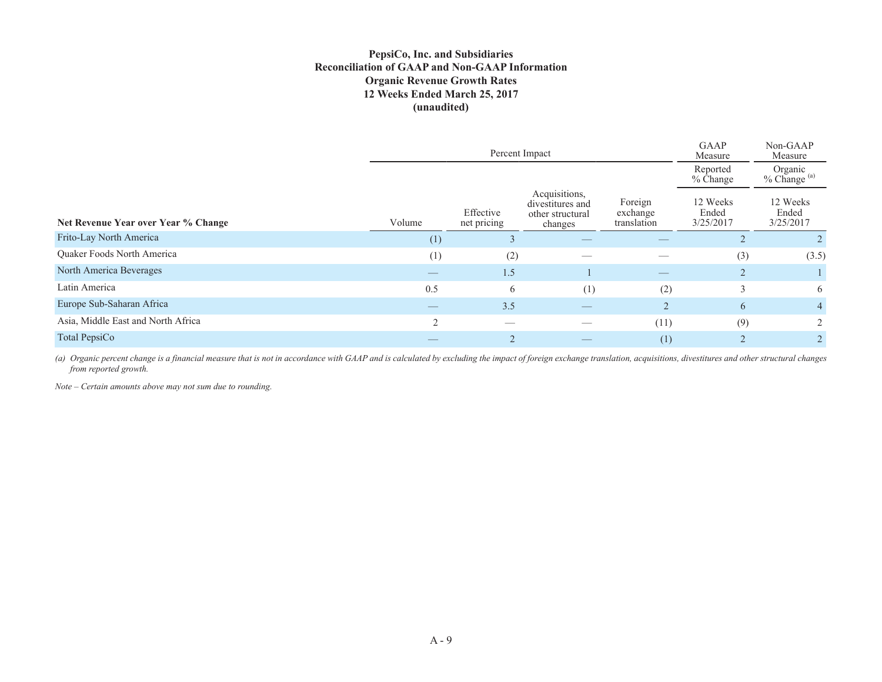### **PepsiCo, Inc. and Subsidiaries Reconciliation of GAAP and Non-GAAP Information Organic Revenue Growth Rates 12 Weeks Ended March 25, 2017 (unaudited)**

|                                     |            | Percent Impact           | <b>GAAP</b><br>Measure                                           | Non-GAAP<br>Measure                |                                |                                    |  |
|-------------------------------------|------------|--------------------------|------------------------------------------------------------------|------------------------------------|--------------------------------|------------------------------------|--|
|                                     |            |                          |                                                                  |                                    | Reported<br>$%$ Change         | Organic<br>% Change <sup>(a)</sup> |  |
| Net Revenue Year over Year % Change | Volume     | Effective<br>net pricing | Acquisitions,<br>divestitures and<br>other structural<br>changes | Foreign<br>exchange<br>translation | 12 Weeks<br>Ended<br>3/25/2017 | 12 Weeks<br>Ended<br>3/25/2017     |  |
| Frito-Lay North America             | (1)        | 3                        |                                                                  |                                    |                                |                                    |  |
| Quaker Foods North America          | (1)        | (2)                      |                                                                  |                                    | (3)                            | (3.5)                              |  |
| North America Beverages             |            | 1.5 <sub>l</sub>         |                                                                  |                                    | 2                              |                                    |  |
| Latin America                       | 0.5        | 6                        | (1)                                                              | (2)                                | 3                              | 6                                  |  |
| Europe Sub-Saharan Africa           |            | 3.5                      |                                                                  | $\mathfrak{D}$                     | 6                              | $\overline{4}$                     |  |
| Asia, Middle East and North Africa  | $\bigcirc$ |                          |                                                                  | (11)                               | (9)                            | $\overline{2}$                     |  |
| Total PepsiCo                       |            | $\overline{2}$           |                                                                  | (1)                                |                                |                                    |  |

(a) Organic percent change is a financial measure that is not in accordance with GAAP and is calculated by excluding the impact of foreign exchange translation, acquisitions, divestitures and other structural changes *from reported growth.* 

*Note – Certain amounts above may not sum due to rounding.*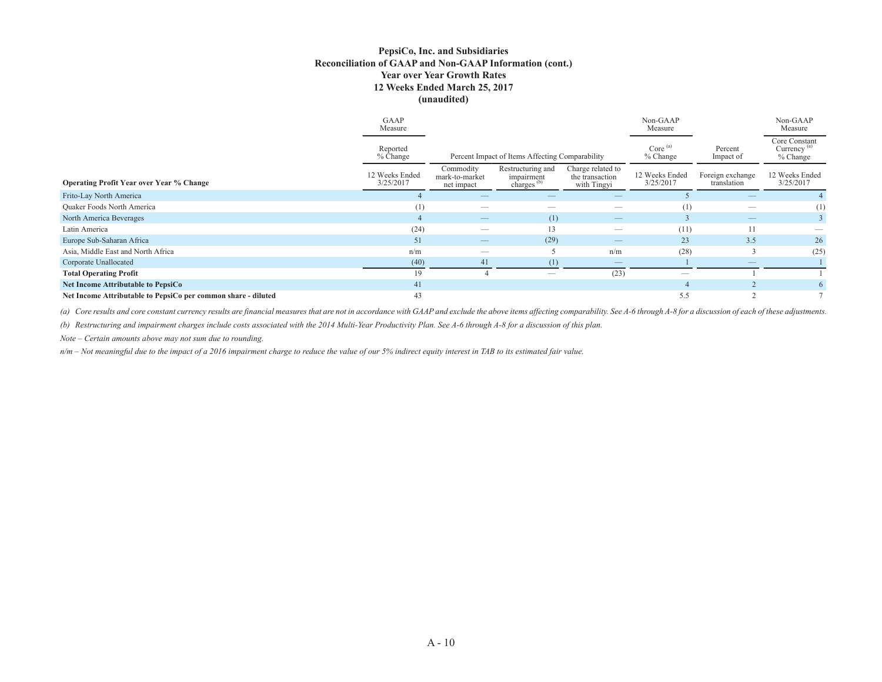#### **PepsiCo, Inc. and Subsidiaries Reconciliation of GAAP and Non-GAAP Information (cont.) Year over Year Growth Rates 12 Weeks Ended March 25, 2017 (unaudited)**

|                                                               | GAAP<br>Measure             |                                           |                                                           |                                                     | Non-GAAP<br>Measure         |                                 | Non-GAAP<br>Measure                                  |
|---------------------------------------------------------------|-----------------------------|-------------------------------------------|-----------------------------------------------------------|-----------------------------------------------------|-----------------------------|---------------------------------|------------------------------------------------------|
|                                                               | Reported<br>$%$ Change      |                                           | Percent Impact of Items Affecting Comparability           |                                                     | Core $^{(a)}$<br>$%$ Change | Percent<br>Impact of            | Core Constant<br>Currency <sup>(a)</sup><br>% Change |
| <b>Operating Profit Year over Year % Change</b>               | 12 Weeks Ended<br>3/25/2017 | Commodity<br>mark-to-market<br>net impact | Restructuring and<br>impairment<br>charges <sup>(b)</sup> | Charge related to<br>the transaction<br>with Tingyi | 12 Weeks Ended<br>3/25/2017 | Foreign exchange<br>translation | 12 Weeks Ended<br>3/25/2017                          |
| Frito-Lay North America                                       |                             |                                           |                                                           |                                                     |                             |                                 |                                                      |
| <b>Quaker Foods North America</b>                             |                             |                                           |                                                           |                                                     |                             |                                 | (1)                                                  |
| North America Beverages                                       |                             | $\overline{\phantom{0}}$                  | (1)                                                       | $\qquad \qquad -$                                   |                             |                                 |                                                      |
| Latin America                                                 | (24)                        |                                           | 13                                                        | $\overline{\phantom{m}}$                            | (11)                        | 11                              |                                                      |
| Europe Sub-Saharan Africa                                     | 51                          | $\qquad \qquad \longleftarrow$            | (29)                                                      | $\qquad \qquad -$                                   | 23                          | 3.5                             | 26                                                   |
| Asia, Middle East and North Africa                            | n/m                         |                                           |                                                           | n/m                                                 | (28)                        |                                 | (25)                                                 |
| Corporate Unallocated                                         | (40)                        | 41                                        | (1)                                                       |                                                     |                             |                                 |                                                      |
| <b>Total Operating Profit</b>                                 | 19                          |                                           |                                                           | (23)                                                | --                          |                                 |                                                      |
| <b>Net Income Attributable to PepsiCo</b>                     | 41                          |                                           |                                                           |                                                     |                             |                                 | 6                                                    |
| Net Income Attributable to PepsiCo per common share - diluted | 43                          |                                           |                                                           |                                                     | 5.5                         |                                 |                                                      |

(a) Core results and core constant currency results are financial measures that are not in accordance with GAAP and exclude the above items affecting comparability. See A-6 through A-8 for a discussion of each of these adj

*(b) Restructuring and impairment charges include costs associated with the 2014 Multi-Year Productivity Plan. See A-6 through A-8 for a discussion of this plan.* 

*Note – Certain amounts above may not sum due to rounding.*

*n/m – Not meaningful due to the impact of a 2016 impairment charge to reduce the value of our 5% indirect equity interest in TAB to its estimated fair value.*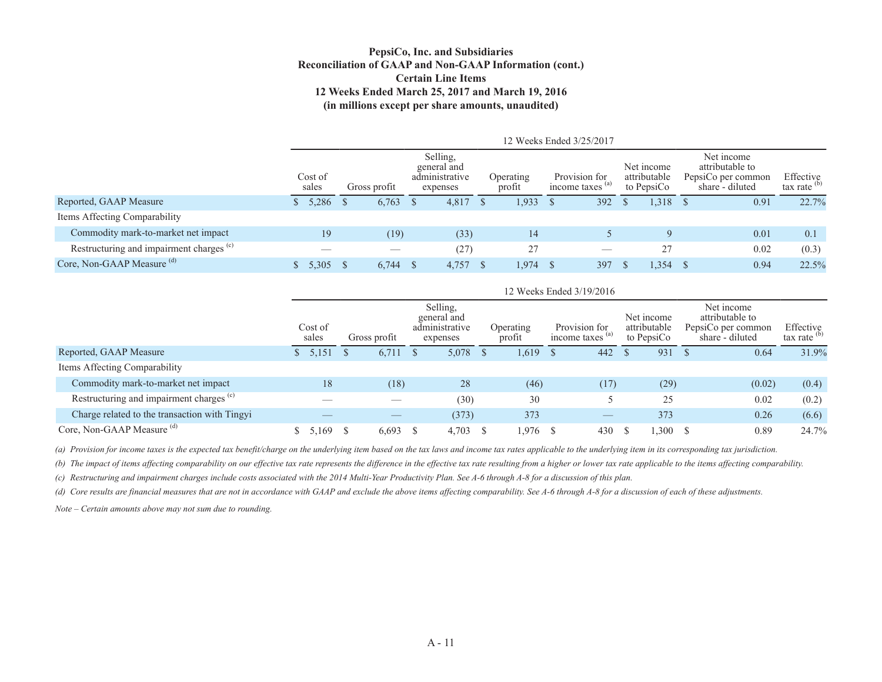#### **PepsiCo, Inc. and Subsidiaries Reconciliation of GAAP and Non-GAAP Information (cont.) Certain Line Items 12 Weeks Ended March 25, 2017 and March 19, 2016 (in millions except per share amounts, unaudited)**

|                                                     |                  |   |              |  |                                                       |       |    | 12 Weeks Ended 3/25/2017   |    |                                   |  |                                          |       |                                                                        |                             |  |
|-----------------------------------------------------|------------------|---|--------------|--|-------------------------------------------------------|-------|----|----------------------------|----|-----------------------------------|--|------------------------------------------|-------|------------------------------------------------------------------------|-----------------------------|--|
|                                                     | Cost of<br>sales |   | Gross profit |  | Selling,<br>general and<br>administrative<br>expenses |       |    | <b>Operating</b><br>profit |    | Provision for<br>income taxes (a) |  | Net income<br>attributable<br>to PepsiCo |       | Net income<br>attributable to<br>PepsiCo per common<br>share - diluted | Effective<br>tax rate $(b)$ |  |
| Reported, GAAP Measure                              | 5,286            | D | 6,763        |  | 4,817                                                 | 1.933 | -S | 392                        | -S | 1,318                             |  | 0.91                                     | 22.7% |                                                                        |                             |  |
| Items Affecting Comparability                       |                  |   |              |  |                                                       |       |    |                            |    |                                   |  |                                          |       |                                                                        |                             |  |
| Commodity mark-to-market net impact                 | 19               |   | (19)         |  | (33)                                                  | 14    |    |                            |    | Q                                 |  | 0.01                                     | 0.1   |                                                                        |                             |  |
| Restructuring and impairment charges <sup>(c)</sup> |                  |   | __           |  | (27)                                                  | 27    |    |                            |    | 27                                |  | 0.02                                     | (0.3) |                                                                        |                             |  |
| Core, Non-GAAP Measure (d)                          | 5.305            |   | 6.744        |  | 4,757                                                 | 1.974 |    | 397                        |    | 1,354                             |  | 0.94                                     | 22.5% |                                                                        |                             |  |

|                                                     |                  |       |    |              |                                                       |            |  |                            |              | 12 Weeks Ended 3/19/2016                     |  |                                          |  |                                                                        |                                      |  |
|-----------------------------------------------------|------------------|-------|----|--------------|-------------------------------------------------------|------------|--|----------------------------|--------------|----------------------------------------------|--|------------------------------------------|--|------------------------------------------------------------------------|--------------------------------------|--|
|                                                     | Cost of<br>sales |       |    | Gross profit | Selling,<br>general and<br>administrative<br>expenses |            |  | <b>Operating</b><br>profit |              | Provision for<br>income taxes <sup>(a)</sup> |  | Net income<br>attributable<br>to PepsiCo |  | Net income<br>attributable to<br>PepsiCo per common<br>share - diluted | Effective<br>tax rate <sup>(b)</sup> |  |
| Reported, GAAP Measure                              | 5,151            |       | -S | 6.711        |                                                       | 5,078      |  | 1,619                      | <sup>S</sup> | 442                                          |  | 931                                      |  | 0.64                                                                   | 31.9%                                |  |
| Items Affecting Comparability                       |                  |       |    |              |                                                       |            |  |                            |              |                                              |  |                                          |  |                                                                        |                                      |  |
| Commodity mark-to-market net impact                 |                  | 18    |    | (18)         |                                                       | 28         |  | (46)                       |              | (17)                                         |  | (29)                                     |  | (0.02)                                                                 | (0.4)                                |  |
| Restructuring and impairment charges <sup>(c)</sup> |                  |       |    |              |                                                       | (30)       |  | 30                         |              |                                              |  | 25                                       |  | 0.02                                                                   | (0.2)                                |  |
| Charge related to the transaction with Tingyi       |                  |       |    |              |                                                       | (373)      |  | 373                        |              |                                              |  | 373                                      |  | 0.26                                                                   | (6.6)                                |  |
| Core, Non-GAAP Measure (d)                          |                  | 5.169 | -S | $6,693$ \$   |                                                       | $4,703$ \$ |  | 1,976 \$                   |              | 430                                          |  | 1,300                                    |  | 0.89                                                                   | 24.7%                                |  |

*(a) Provision for income taxes is the expected tax benefit/charge on the underlying item based on the tax laws and income tax rates applicable to the underlying item in its corresponding tax jurisdiction.*

*(b) The impact of items affecting comparability on our effective tax rate represents the difference in the effective tax rate resulting from a higher or lower tax rate applicable to the items affecting comparability.*

*(c) Restructuring and impairment charges include costs associated with the 2014 Multi-Year Productivity Plan. See A-6 through A-8 for a discussion of this plan.*

*(d) Core results are financial measures that are not in accordance with GAAP and exclude the above items affecting comparability. See A-6 through A-8 for a discussion of each of these adjustments.*

*Note – Certain amounts above may not sum due to rounding.*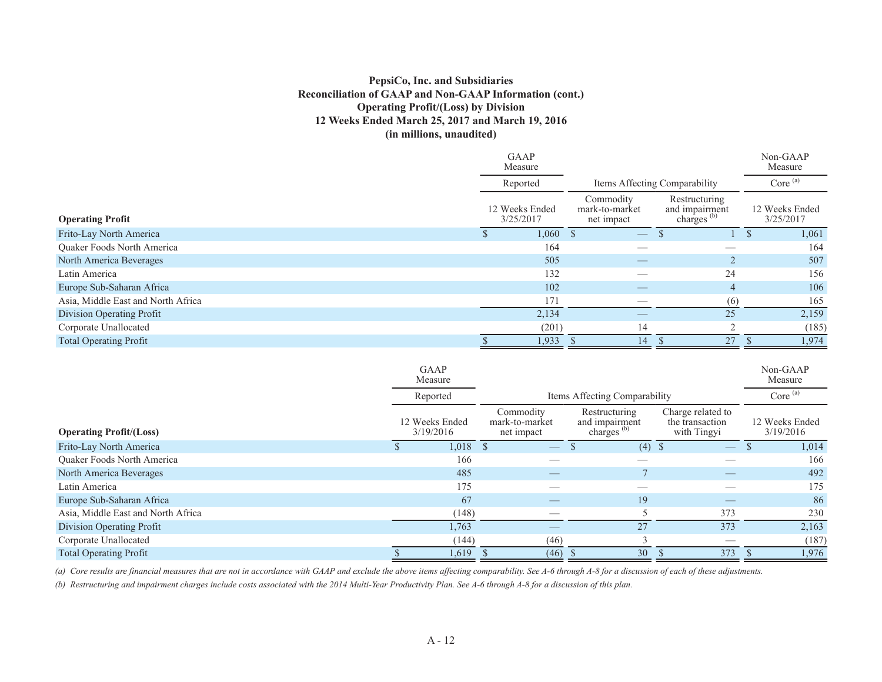### **PepsiCo, Inc. and Subsidiaries Reconciliation of GAAP and Non-GAAP Information (cont.) Operating Profit/(Loss) by Division 12 Weeks Ended March 25, 2017 and March 19, 2016 (in millions, unaudited)**

|                                    | <b>GAAP</b><br>Measure      |                                           |                                                           | Non-GAAP<br>Measure         |  |
|------------------------------------|-----------------------------|-------------------------------------------|-----------------------------------------------------------|-----------------------------|--|
|                                    | Reported                    |                                           | Items Affecting Comparability                             | Core $(a)$                  |  |
| <b>Operating Profit</b>            | 12 Weeks Ended<br>3/25/2017 | Commodity<br>mark-to-market<br>net impact | Restructuring<br>and impairment<br>charges <sup>(b)</sup> | 12 Weeks Ended<br>3/25/2017 |  |
| Frito-Lay North America            | $1,060$ \$                  | $\overline{\phantom{m}}$                  |                                                           | 1,061                       |  |
| Quaker Foods North America         | 164                         | __                                        |                                                           | 164                         |  |
| North America Beverages            | 505                         | $-$                                       |                                                           | 507                         |  |
| Latin America                      | 132                         |                                           | 24                                                        | 156                         |  |
| Europe Sub-Saharan Africa          | 102                         |                                           | 4                                                         | 106                         |  |
| Asia, Middle East and North Africa | 171                         |                                           | (6)                                                       | 165                         |  |
| Division Operating Profit          | 2,134                       |                                           | 25                                                        | 2,159                       |  |
| Corporate Unallocated              | (201)                       | 14                                        | $\bigcap$                                                 | (185)                       |  |
| <b>Total Operating Profit</b>      | 1,933                       | 14                                        | 27                                                        | 1,974                       |  |

|                                    | <b>GAAP</b><br>Measure      |            |                                           |                                                           | Non-GAAP<br>Measure                                 |                             |  |
|------------------------------------|-----------------------------|------------|-------------------------------------------|-----------------------------------------------------------|-----------------------------------------------------|-----------------------------|--|
|                                    | Reported                    |            | Items Affecting Comparability             | Core $^{(a)}$                                             |                                                     |                             |  |
| <b>Operating Profit/(Loss)</b>     | 12 Weeks Ended<br>3/19/2016 |            | Commodity<br>mark-to-market<br>net impact | Restructuring<br>and impairment<br>charges <sup>(b)</sup> | Charge related to<br>the transaction<br>with Tingyi | 12 Weeks Ended<br>3/19/2016 |  |
| Frito-Lay North America            |                             | $1,018$ \$ |                                           | $(4)$ \$                                                  |                                                     | 1,014                       |  |
| Quaker Foods North America         |                             | 166        |                                           |                                                           |                                                     | 166                         |  |
| North America Beverages            |                             | 485        |                                           |                                                           | __                                                  | 492                         |  |
| Latin America                      |                             | 175        | _                                         |                                                           |                                                     | 175                         |  |
| Europe Sub-Saharan Africa          |                             | 67         |                                           | 19                                                        |                                                     | 86                          |  |
| Asia, Middle East and North Africa |                             | (148)      | _                                         |                                                           | 373                                                 | 230                         |  |
| Division Operating Profit          |                             | 1,763      |                                           | 27                                                        | 373                                                 | 2,163                       |  |
| Corporate Unallocated              |                             | (144)      | (46)                                      |                                                           |                                                     | (187)                       |  |
| <b>Total Operating Profit</b>      |                             | 1,619      | (46)                                      | 30                                                        | 373                                                 | 1,976                       |  |

*(a) Core results are financial measures that are not in accordance with GAAP and exclude the above items affecting comparability. See A-6 through A-8 for a discussion of each of these adjustments.*

*(b) Restructuring and impairment charges include costs associated with the 2014 Multi-Year Productivity Plan. See A-6 through A-8 for a discussion of this plan.*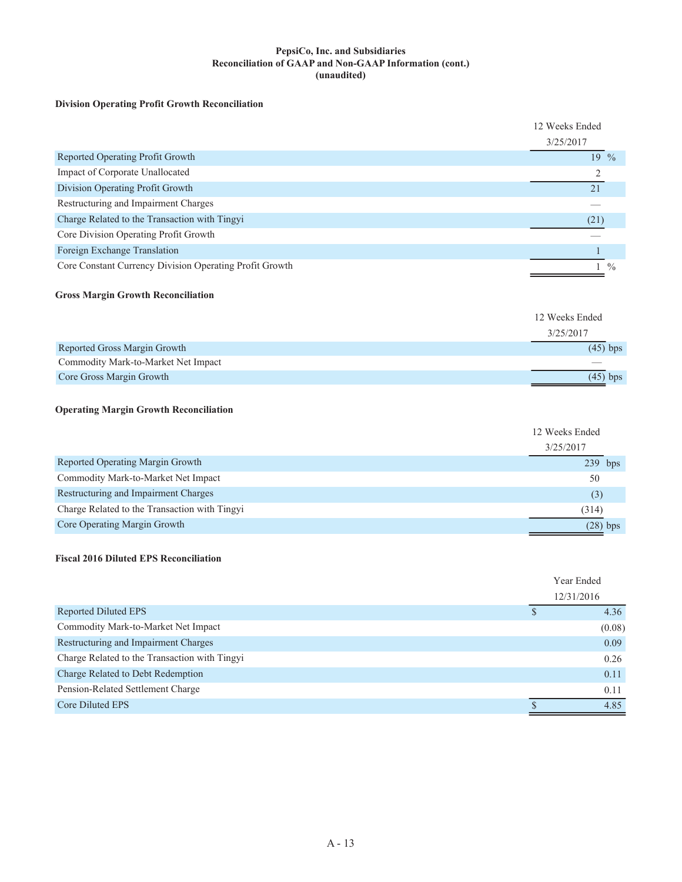#### **PepsiCo, Inc. and Subsidiaries Reconciliation of GAAP and Non-GAAP Information (cont.) (unaudited)**

### **Division Operating Profit Growth Reconciliation**

|                                                         | 12 Weeks Ended  |               |
|---------------------------------------------------------|-----------------|---------------|
|                                                         | 3/25/2017       |               |
| Reported Operating Profit Growth                        | $19\frac{0}{6}$ |               |
| Impact of Corporate Unallocated                         |                 |               |
| Division Operating Profit Growth                        | 21              |               |
| Restructuring and Impairment Charges                    |                 |               |
| Charge Related to the Transaction with Tingyi           | (21)            |               |
| Core Division Operating Profit Growth                   |                 |               |
| Foreign Exchange Translation                            |                 |               |
| Core Constant Currency Division Operating Profit Growth |                 | $\frac{0}{0}$ |

#### **Gross Margin Growth Reconciliation**

|                                     | 12 Weeks Ended |
|-------------------------------------|----------------|
|                                     | 3/25/2017      |
| Reported Gross Margin Growth        | $(45)$ bps     |
| Commodity Mark-to-Market Net Impact |                |
| Core Gross Margin Growth            | $(45)$ bps     |

### **Operating Margin Growth Reconciliation**

|                                               | 12 Weeks Ended<br>3/25/2017 |            |
|-----------------------------------------------|-----------------------------|------------|
| Reported Operating Margin Growth              | $239$ bps                   |            |
| Commodity Mark-to-Market Net Impact           | 50                          |            |
| Restructuring and Impairment Charges          | (3)                         |            |
| Charge Related to the Transaction with Tingyi | (314)                       |            |
| Core Operating Margin Growth                  |                             | $(28)$ bps |

#### **Fiscal 2016 Diluted EPS Reconciliation**

| Year Ended |
|------------|
| 12/31/2016 |
| 4.36       |
| (0.08)     |
| 0.09       |
| 0.26       |
| 0.11       |
| 0.11       |
| 4.85       |
|            |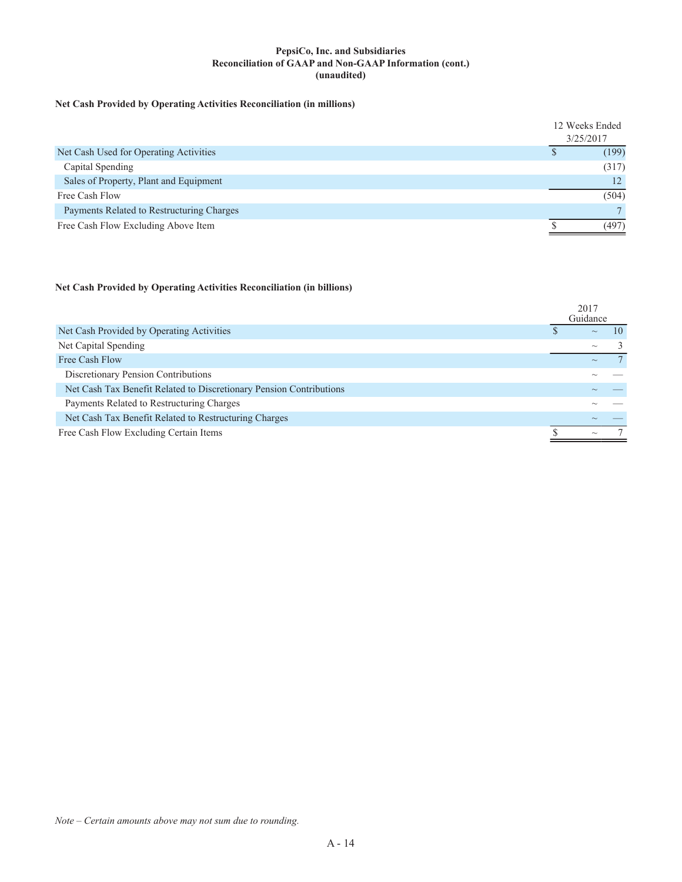#### **PepsiCo, Inc. and Subsidiaries Reconciliation of GAAP and Non-GAAP Information (cont.) (unaudited)**

## **Net Cash Provided by Operating Activities Reconciliation (in millions)**

| 3/25/2017                                 | 12 Weeks Ended |
|-------------------------------------------|----------------|
|                                           |                |
| Net Cash Used for Operating Activities    | (199)          |
| Capital Spending                          | (317)          |
| Sales of Property, Plant and Equipment    | 12             |
| Free Cash Flow                            | (504)          |
| Payments Related to Restructuring Charges |                |
| Free Cash Flow Excluding Above Item       | (497)          |

#### **Net Cash Provided by Operating Activities Reconciliation (in billions)**

|                                                                     | 2017<br>Guidance |    |
|---------------------------------------------------------------------|------------------|----|
| Net Cash Provided by Operating Activities                           | $\sim$           | 10 |
| Net Capital Spending                                                | $\sim$           |    |
| Free Cash Flow                                                      | $\sim$           |    |
| Discretionary Pension Contributions                                 |                  |    |
| Net Cash Tax Benefit Related to Discretionary Pension Contributions |                  |    |
| Payments Related to Restructuring Charges                           |                  |    |
| Net Cash Tax Benefit Related to Restructuring Charges               |                  |    |
| Free Cash Flow Excluding Certain Items                              | $\sim$           |    |